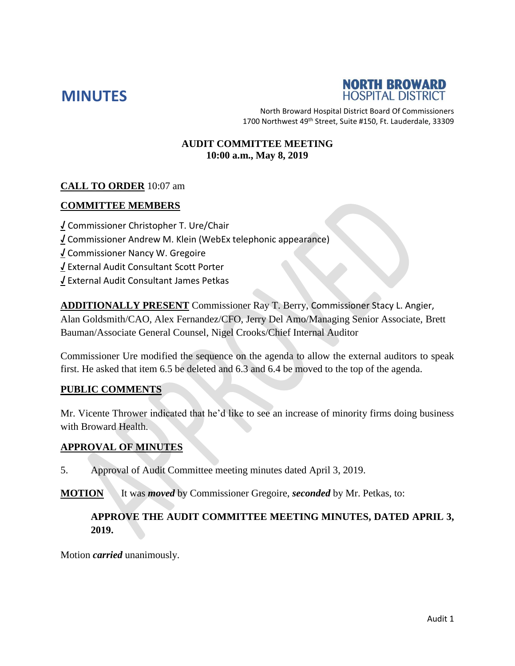



North Broward Hospital District Board Of Commissioners 1700 Northwest 49<sup>th</sup> Street, Suite #150, Ft. Lauderdale, 33309

#### **AUDIT COMMITTEE MEETING 10:00 a.m., May 8, 2019**

### **CALL TO ORDER** 10:07 am

#### **COMMITTEE MEMBERS**

**√** Commissioner Christopher T. Ure/Chair **√** Commissioner Andrew M. Klein (WebEx telephonic appearance) **√** Commissioner Nancy W. Gregoire **√** External Audit Consultant Scott Porter **√** External Audit Consultant James Petkas

**ADDITIONALLY PRESENT** Commissioner Ray T. Berry, Commissioner Stacy L. Angier, Alan Goldsmith/CAO, Alex Fernandez/CFO, Jerry Del Amo/Managing Senior Associate, Brett Bauman/Associate General Counsel, Nigel Crooks/Chief Internal Auditor

Commissioner Ure modified the sequence on the agenda to allow the external auditors to speak first. He asked that item 6.5 be deleted and 6.3 and 6.4 be moved to the top of the agenda.

#### **PUBLIC COMMENTS**

Mr. Vicente Thrower indicated that he'd like to see an increase of minority firms doing business with Broward Health.

#### **APPROVAL OF MINUTES**

5. Approval of Audit Committee meeting minutes dated April 3, 2019.

**MOTION** It was *moved* by Commissioner Gregoire, *seconded* by Mr. Petkas, to:

### **APPROVE THE AUDIT COMMITTEE MEETING MINUTES, DATED APRIL 3, 2019.**

Motion *carried* unanimously.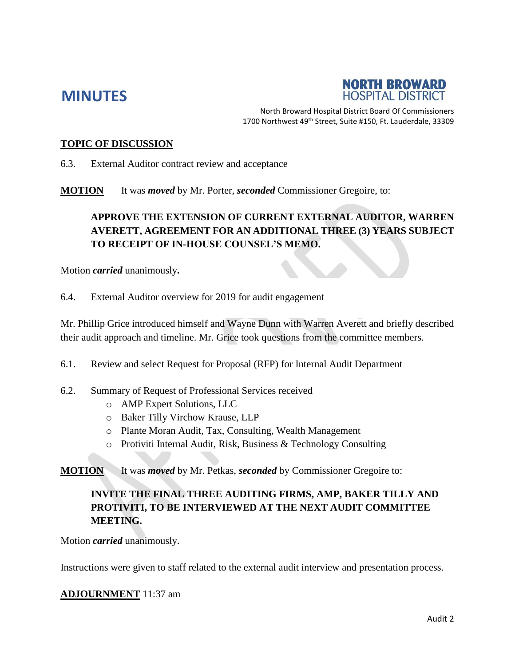# **MINUTES**



North Broward Hospital District Board Of Commissioners 1700 Northwest 49<sup>th</sup> Street, Suite #150, Ft. Lauderdale, 33309

#### **TOPIC OF DISCUSSION**

6.3. External Auditor contract review and acceptance

**MOTION** It was *moved* by Mr. Porter, *seconded* Commissioner Gregoire, to:

# **APPROVE THE EXTENSION OF CURRENT EXTERNAL AUDITOR, WARREN AVERETT, AGREEMENT FOR AN ADDITIONAL THREE (3) YEARS SUBJECT TO RECEIPT OF IN-HOUSE COUNSEL'S MEMO.**

Motion *carried* unanimously**.**

6.4. External Auditor overview for 2019 for audit engagement

Mr. Phillip Grice introduced himself and Wayne Dunn with Warren Averett and briefly described their audit approach and timeline. Mr. Grice took questions from the committee members.

6.1. Review and select Request for Proposal (RFP) for Internal Audit Department

- 6.2. Summary of Request of Professional Services received
	- o AMP Expert Solutions, LLC
	- o Baker Tilly Virchow Krause, LLP
	- o Plante Moran Audit, Tax, Consulting, Wealth Management
	- o Protiviti Internal Audit, Risk, Business & Technology Consulting

**MOTION** It was *moved* by Mr. Petkas, *seconded* by Commissioner Gregoire to:

# **INVITE THE FINAL THREE AUDITING FIRMS, AMP, BAKER TILLY AND PROTIVITI, TO BE INTERVIEWED AT THE NEXT AUDIT COMMITTEE MEETING.**

Motion *carried* unanimously.

Instructions were given to staff related to the external audit interview and presentation process.

#### **ADJOURNMENT** 11:37 am